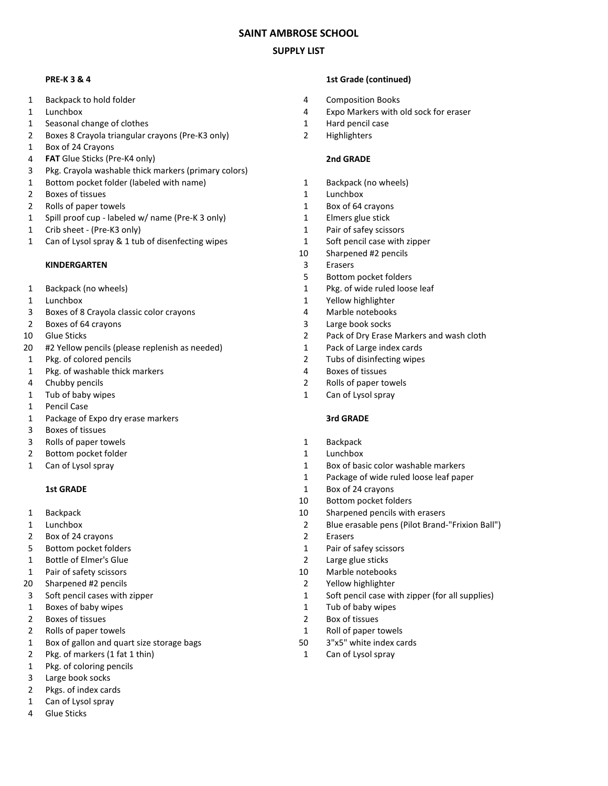# **SAINT AMBROSE SCHOOL**

# **SUPPLY LIST**

- 1 Backpack to hold folder 4 Composition Books
- 
- 1 Seasonal change of clothes 1 Hard pencil case
- 2 Boxes 8 Crayola triangular crayons (Pre-K3 only) 2 Highlighters
- 1 Box of 24 Crayons
- 4 **FAT** Glue Sticks (Pre-K4 only) **2nd GRADE**
- 3 Pkg. Crayola washable thick markers (primary colors)
- 1 Bottom pocket folder (labeled with name) 1 Backpack (no wheels)
- 2 Boxes of tissues 2 and the state of the state of the state of the state of the state of the state of the state of the state of the state of the state of the state of the state of the state of the state of the state of th
- 2 Rolls of paper towels 2 Rolls of paper towels
- 1 Spill proof cup labeled w/ name (Pre-K 3 only) 1 Elmers glue stick
- 1 Crib sheet (Pre-K3 only) 1 Pair of safey scissors
- 1 Can of Lysol spray & 1 tub of disenfecting wipes 1 Soft pencil case with zipper

### **KINDERGARTEN** 3 Erasers

- 
- 
- 3 Boxes of 8 Crayola classic color crayons 4 Marble notebooks
- 2 Boxes of 64 crayons 2 Cases and 2 Cases of 64 crayons 2 Cases 2 Cases 2 Cases 2 Cases 2 Cases 2 Cases 2 Cases 2 Cases 2 Cases 2 Cases 2 Cases 2 Cases 2 Cases 2 Cases 2 Cases 2 Cases 2 Cases 2 Cases 2 Cases 2 Cases 2 Case
- 
- 20 #2 Yellow pencils (please replenish as needed) 1 Pack of Large index cards
- 
- 1 Pkg. of washable thick markers extended the state of tissues of tissues
- 
- 1 Tub of baby wipes 1 Can of Lysol spray
- 1 Pencil Case
- 1 Package of Expo dry erase markers **3rd GRADE**
- 3 Boxes of tissues
- 3 Rolls of paper towels 2000 and 2000 and 2000 and 2000 and 2000 and 2000 and 2000 and 2000 and 2000 and 2000 and 2000 and 2000 and 2000 and 2000 and 2000 and 2000 and 2000 and 2000 and 2000 and 2000 and 2000 and 2000 and
- 2 Bottom pocket folder 1 Lunchbox
- 

- 
- 
- 2 Box of 24 crayons 2 Erasers
- 
- 1 Bottle of Elmer's Glue 2 Large glue sticks
- 
- 20 Sharpened #2 pencils 2 Yellow highlighter
- 
- 1 Boxes of baby wipes 1 Tub of baby wipes
- 
- 
- 1 Box of gallon and quart size storage bags 50 3"x5" white index cards
- 2 Pkg. of markers (1 fat 1 thin) 1 Can of Lysol spray
- 1 Pkg. of coloring pencils
- 3 Large book socks
- 2 Pkgs. of index cards
- 1 Can of Lysol spray
- 4 Glue Sticks

# **PRE-K 3 & 4 1st Grade (continued)**

- 
- 1 Lunchbox 4 Expo Markers with old sock for eraser
	-
	-

- 
- 
- 
- 
- 
- 
- 10 Sharpened #2 pencils
- 
- 5 Bottom pocket folders
- 1 Backpack (no wheels) 1 Pkg. of wide ruled loose leaf
- 1 Lunchbox 200 and 200 and 200 and 200 and 200 and 200 and 200 and 200 and 200 and 200 and 200 and 200 and 200 and 200 and 200 and 200 and 200 and 200 and 200 and 200 and 200 and 200 and 200 and 200 and 200 and 200 and 200
	-
	-
- 10 Glue Sticks 2 Pack of Dry Erase Markers and wash cloth
	-
- 1 Pkg. of colored pencils 2 Tubs of disinfecting wipes
	-
- 4 Chubby pencils 2 Rolls of paper towels
	-

- 
- 
- 1 Can of Lysol spray 1 Box of basic color washable markers
	- 1 Package of wide ruled loose leaf paper
	- **1st GRADE** 1 Box of 24 crayons
		- 10 Bottom pocket folders
- 1 Backpack 10 Sharpened pencils with erasers
- 1 Lunchbox 2 Blue erasable pens (Pilot Brand-"Frixion Ball")
	-
- 5 Bottom pocket folders 1 Pair of safey scissors
	-
- 1 Pair of safety scissors 10 Marble notebooks
	-
- 3 Soft pencil cases with zipper 1 Soft pencil case with zipper (for all supplies)
	-
- 2 Boxes of tissues 2 Box of tissues
- 2 Rolls of paper towels 2 Roll of paper towels 2 Roll of paper towels
	-
	-